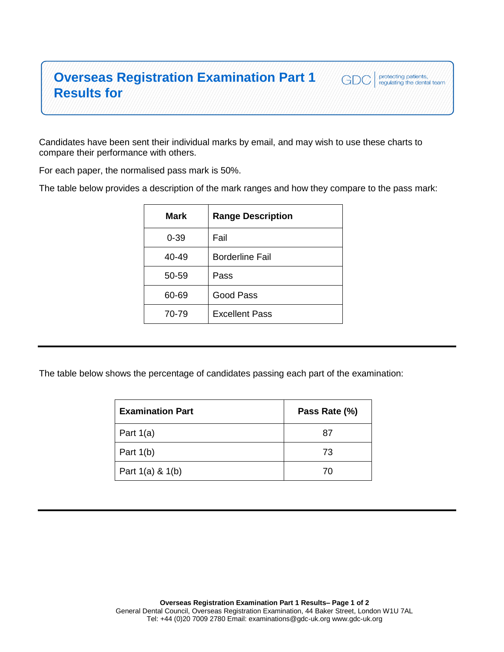## **Overseas Registration Examination Part 1 Results for**

Candidates have been sent their individual marks by email, and may wish to use these charts to compare their performance with others.

protecting patients,<br>regulating the dental team

GDC

For each paper, the normalised pass mark is 50%.

The table below provides a description of the mark ranges and how they compare to the pass mark:

| Mark     | <b>Range Description</b> |
|----------|--------------------------|
| $0 - 39$ | Fail                     |
| 40-49    | <b>Borderline Fail</b>   |
| 50-59    | Pass                     |
| 60-69    | Good Pass                |
| 70-79    | <b>Excellent Pass</b>    |
|          |                          |

The table below shows the percentage of candidates passing each part of the examination:

| <b>Examination Part</b> | Pass Rate (%) |
|-------------------------|---------------|
| Part $1(a)$             | 87            |
| Part $1(b)$             | 73            |
| Part $1(a)$ & $1(b)$    | 70            |